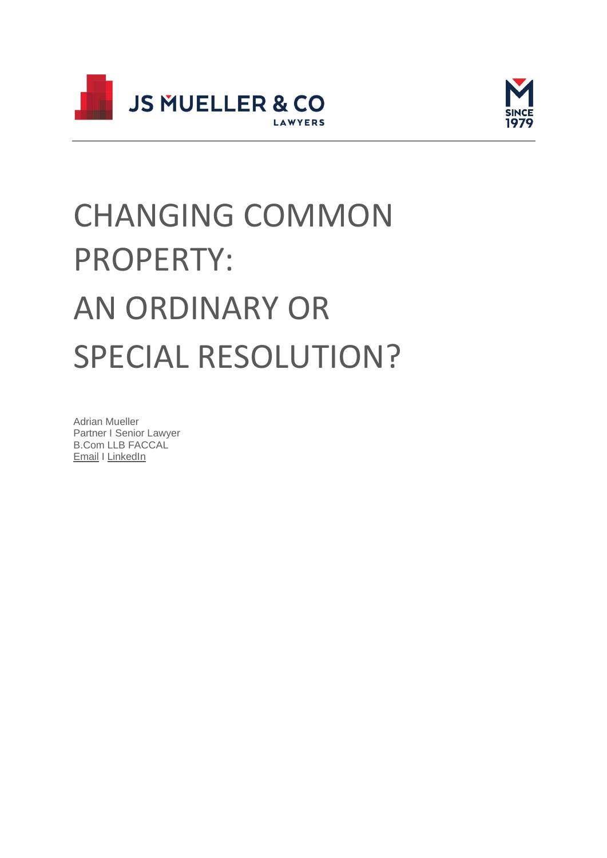



# CHANGING COMMON PROPERTY: AN ORDINARY OR SPECIAL RESOLUTION?

Adrian Mueller Partner I Senior Lawyer B.Com LLB FACCAL [Email](http://adrianmueller@muellers.com.au/) I [LinkedIn](https://www.linkedin.com/in/adriansmueller)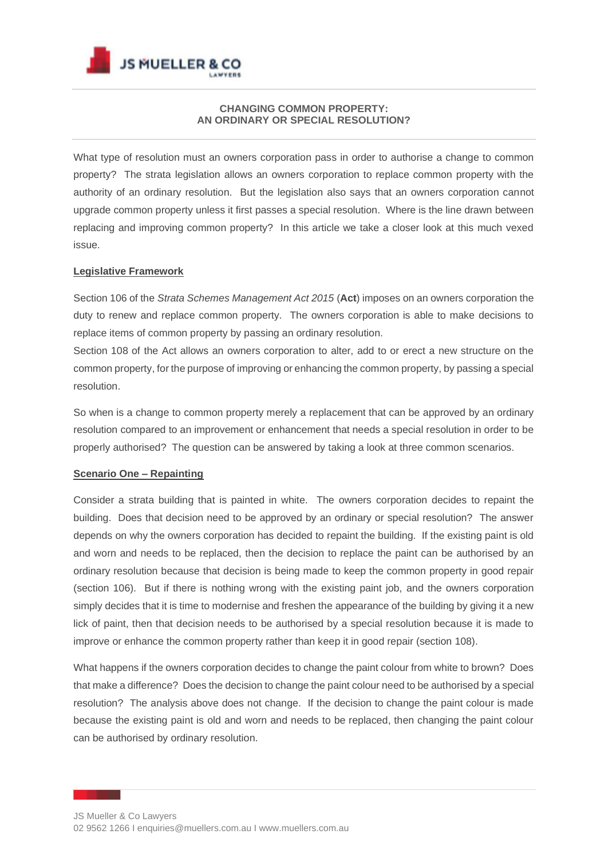

## **CHANGING COMMON PROPERTY: AN ORDINARY OR SPECIAL RESOLUTION?**

What type of resolution must an owners corporation pass in order to authorise a change to common property? The strata legislation allows an owners corporation to replace common property with the authority of an ordinary resolution. But the legislation also says that an owners corporation cannot upgrade common property unless it first passes a special resolution. Where is the line drawn between replacing and improving common property? In this article we take a closer look at this much vexed issue.

### **Legislative Framework**

Section 106 of the *Strata Schemes Management Act 2015* (**Act**) imposes on an owners corporation the duty to renew and replace common property. The owners corporation is able to make decisions to replace items of common property by passing an ordinary resolution.

Section 108 of the Act allows an owners corporation to alter, add to or erect a new structure on the common property, for the purpose of improving or enhancing the common property, by passing a special resolution.

So when is a change to common property merely a replacement that can be approved by an ordinary resolution compared to an improvement or enhancement that needs a special resolution in order to be properly authorised? The question can be answered by taking a look at three common scenarios.

#### **Scenario One – Repainting**

Consider a strata building that is painted in white. The owners corporation decides to repaint the building. Does that decision need to be approved by an ordinary or special resolution? The answer depends on why the owners corporation has decided to repaint the building. If the existing paint is old and worn and needs to be replaced, then the decision to replace the paint can be authorised by an ordinary resolution because that decision is being made to keep the common property in good repair (section 106). But if there is nothing wrong with the existing paint job, and the owners corporation simply decides that it is time to modernise and freshen the appearance of the building by giving it a new lick of paint, then that decision needs to be authorised by a special resolution because it is made to improve or enhance the common property rather than keep it in good repair (section 108).

What happens if the owners corporation decides to change the paint colour from white to brown? Does that make a difference? Does the decision to change the paint colour need to be authorised by a special resolution? The analysis above does not change. If the decision to change the paint colour is made because the existing paint is old and worn and needs to be replaced, then changing the paint colour can be authorised by ordinary resolution.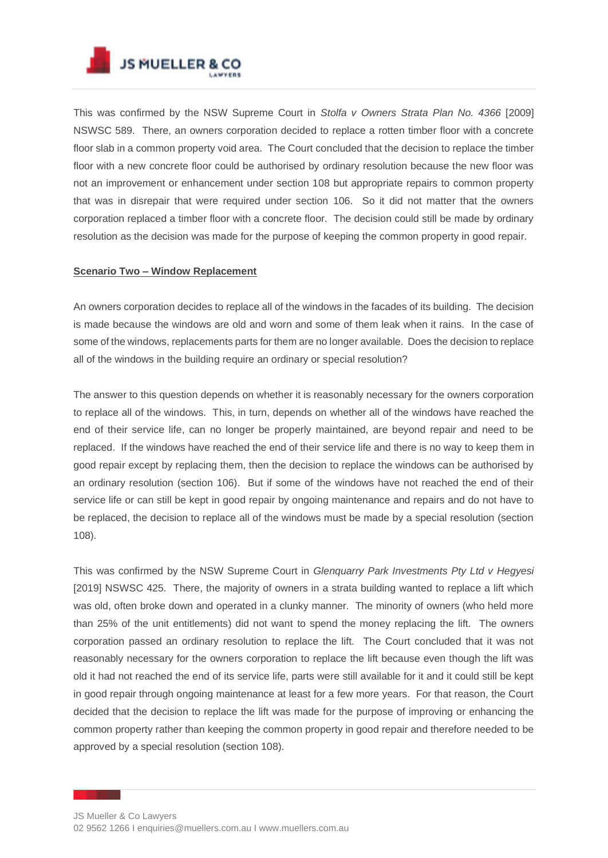

This was confirmed by the NSW Supreme Court in *Stolfa v Owners Strata Plan No. 4366* [2009] NSWSC 589. There, an owners corporation decided to replace a rotten timber floor with a concrete floor slab in a common property void area. The Court concluded that the decision to replace the timber floor with a new concrete floor could be authorised by ordinary resolution because the new floor was not an improvement or enhancement under section 108 but appropriate repairs to common property that was in disrepair that were required under section 106. So it did not matter that the owners corporation replaced a timber floor with a concrete floor. The decision could still be made by ordinary resolution as the decision was made for the purpose of keeping the common property in good repair.

### **Scenario Two – Window Replacement**

An owners corporation decides to replace all of the windows in the facades of its building. The decision is made because the windows are old and worn and some of them leak when it rains. In the case of some of the windows, replacements parts for them are no longer available. Does the decision to replace all of the windows in the building require an ordinary or special resolution?

The answer to this question depends on whether it is reasonably necessary for the owners corporation to replace all of the windows. This, in turn, depends on whether all of the windows have reached the end of their service life, can no longer be properly maintained, are beyond repair and need to be replaced. If the windows have reached the end of their service life and there is no way to keep them in good repair except by replacing them, then the decision to replace the windows can be authorised by an ordinary resolution (section 106). But if some of the windows have not reached the end of their service life or can still be kept in good repair by ongoing maintenance and repairs and do not have to be replaced, the decision to replace all of the windows must be made by a special resolution (section 108).

This was confirmed by the NSW Supreme Court in *Glenquarry Park Investments Pty Ltd v Hegyesi*  [2019] NSWSC 425. There, the majority of owners in a strata building wanted to replace a lift which was old, often broke down and operated in a clunky manner. The minority of owners (who held more than 25% of the unit entitlements) did not want to spend the money replacing the lift. The owners corporation passed an ordinary resolution to replace the lift. The Court concluded that it was not reasonably necessary for the owners corporation to replace the lift because even though the lift was old it had not reached the end of its service life, parts were still available for it and it could still be kept in good repair through ongoing maintenance at least for a few more years. For that reason, the Court decided that the decision to replace the lift was made for the purpose of improving or enhancing the common property rather than keeping the common property in good repair and therefore needed to be approved by a special resolution (section 108).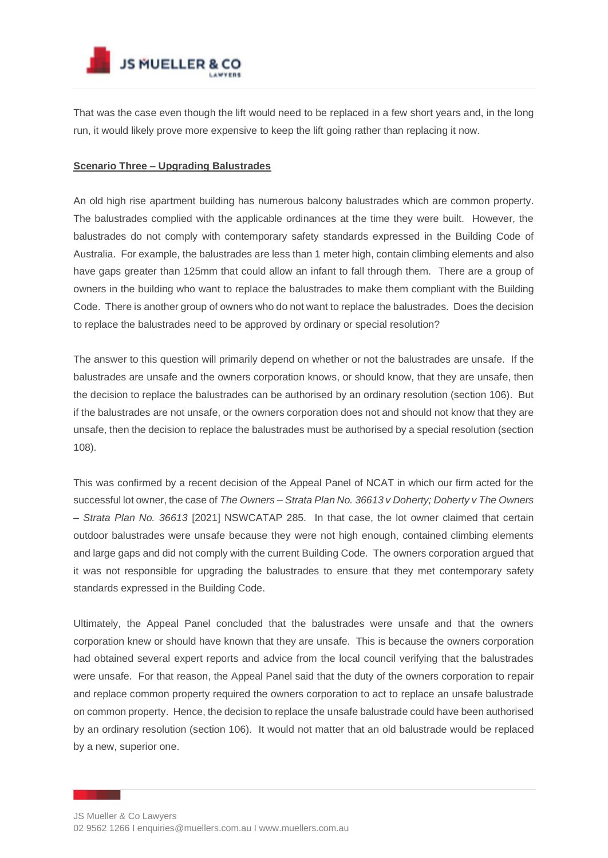

That was the case even though the lift would need to be replaced in a few short years and, in the long run, it would likely prove more expensive to keep the lift going rather than replacing it now.

### **Scenario Three – Upgrading Balustrades**

An old high rise apartment building has numerous balcony balustrades which are common property. The balustrades complied with the applicable ordinances at the time they were built. However, the balustrades do not comply with contemporary safety standards expressed in the Building Code of Australia. For example, the balustrades are less than 1 meter high, contain climbing elements and also have gaps greater than 125mm that could allow an infant to fall through them. There are a group of owners in the building who want to replace the balustrades to make them compliant with the Building Code. There is another group of owners who do not want to replace the balustrades. Does the decision to replace the balustrades need to be approved by ordinary or special resolution?

The answer to this question will primarily depend on whether or not the balustrades are unsafe. If the balustrades are unsafe and the owners corporation knows, or should know, that they are unsafe, then the decision to replace the balustrades can be authorised by an ordinary resolution (section 106). But if the balustrades are not unsafe, or the owners corporation does not and should not know that they are unsafe, then the decision to replace the balustrades must be authorised by a special resolution (section 108).

This was confirmed by a recent decision of the Appeal Panel of NCAT in which our firm acted for the successful lot owner, the case of *The Owners – Strata Plan No. 36613 v Doherty; Doherty v The Owners – Strata Plan No. 36613* [2021] NSWCATAP 285. In that case, the lot owner claimed that certain outdoor balustrades were unsafe because they were not high enough, contained climbing elements and large gaps and did not comply with the current Building Code. The owners corporation argued that it was not responsible for upgrading the balustrades to ensure that they met contemporary safety standards expressed in the Building Code.

Ultimately, the Appeal Panel concluded that the balustrades were unsafe and that the owners corporation knew or should have known that they are unsafe. This is because the owners corporation had obtained several expert reports and advice from the local council verifying that the balustrades were unsafe. For that reason, the Appeal Panel said that the duty of the owners corporation to repair and replace common property required the owners corporation to act to replace an unsafe balustrade on common property. Hence, the decision to replace the unsafe balustrade could have been authorised by an ordinary resolution (section 106). It would not matter that an old balustrade would be replaced by a new, superior one.